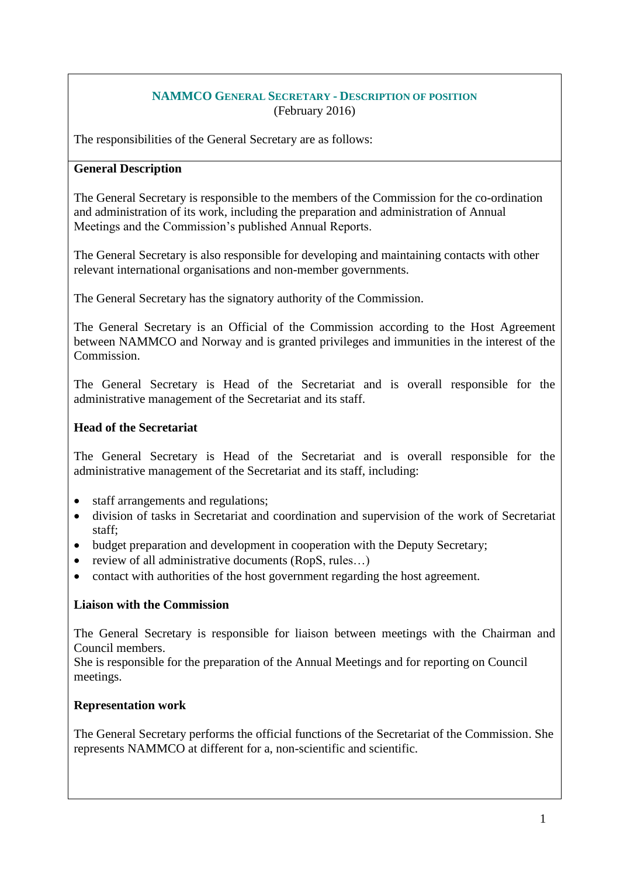#### **NAMMCO GENERAL SECRETARY - DESCRIPTION OF POSITION** (February 2016)

The responsibilities of the General Secretary are as follows:

## **General Description**

The General Secretary is responsible to the members of the Commission for the co-ordination and administration of its work, including the preparation and administration of Annual Meetings and the Commission's published Annual Reports.

The General Secretary is also responsible for developing and maintaining contacts with other relevant international organisations and non-member governments.

The General Secretary has the signatory authority of the Commission.

The General Secretary is an Official of the Commission according to the Host Agreement between NAMMCO and Norway and is granted privileges and immunities in the interest of the Commission.

The General Secretary is Head of the Secretariat and is overall responsible for the administrative management of the Secretariat and its staff.

## **Head of the Secretariat**

The General Secretary is Head of the Secretariat and is overall responsible for the administrative management of the Secretariat and its staff, including:

- staff arrangements and regulations;
- division of tasks in Secretariat and coordination and supervision of the work of Secretariat staff;
- budget preparation and development in cooperation with the Deputy Secretary;
- review of all administrative documents (RopS, rules…)
- contact with authorities of the host government regarding the host agreement.

## **Liaison with the Commission**

The General Secretary is responsible for liaison between meetings with the Chairman and Council members.

She is responsible for the preparation of the Annual Meetings and for reporting on Council meetings.

## **Representation work**

The General Secretary performs the official functions of the Secretariat of the Commission. She represents NAMMCO at different for a, non-scientific and scientific.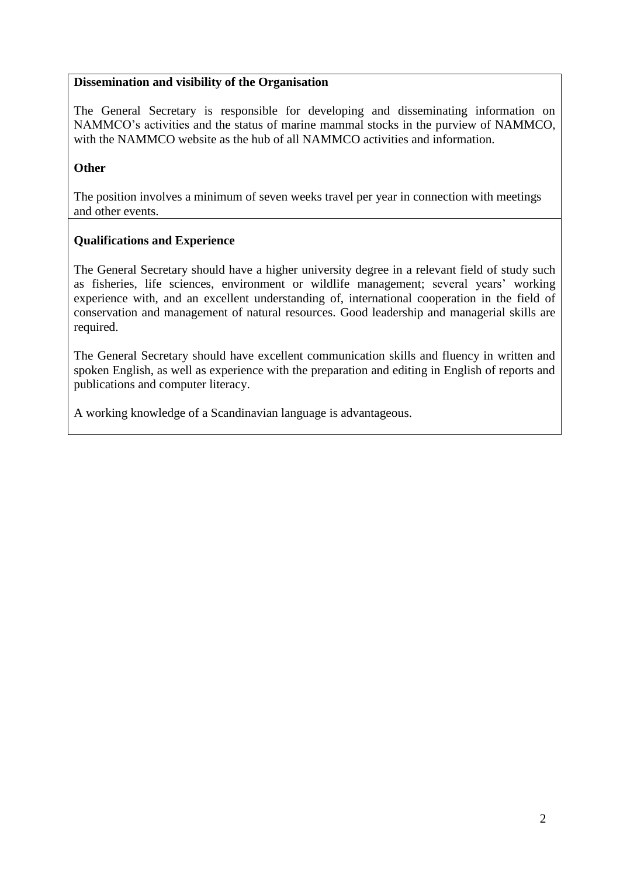## **Dissemination and visibility of the Organisation**

The General Secretary is responsible for developing and disseminating information on NAMMCO's activities and the status of marine mammal stocks in the purview of NAMMCO, with the NAMMCO website as the hub of all NAMMCO activities and information.

#### **Other**

The position involves a minimum of seven weeks travel per year in connection with meetings and other events.

## **Qualifications and Experience**

The General Secretary should have a higher university degree in a relevant field of study such as fisheries, life sciences, environment or wildlife management; several years' working experience with, and an excellent understanding of, international cooperation in the field of conservation and management of natural resources. Good leadership and managerial skills are required.

The General Secretary should have excellent communication skills and fluency in written and spoken English, as well as experience with the preparation and editing in English of reports and publications and computer literacy.

A working knowledge of a Scandinavian language is advantageous.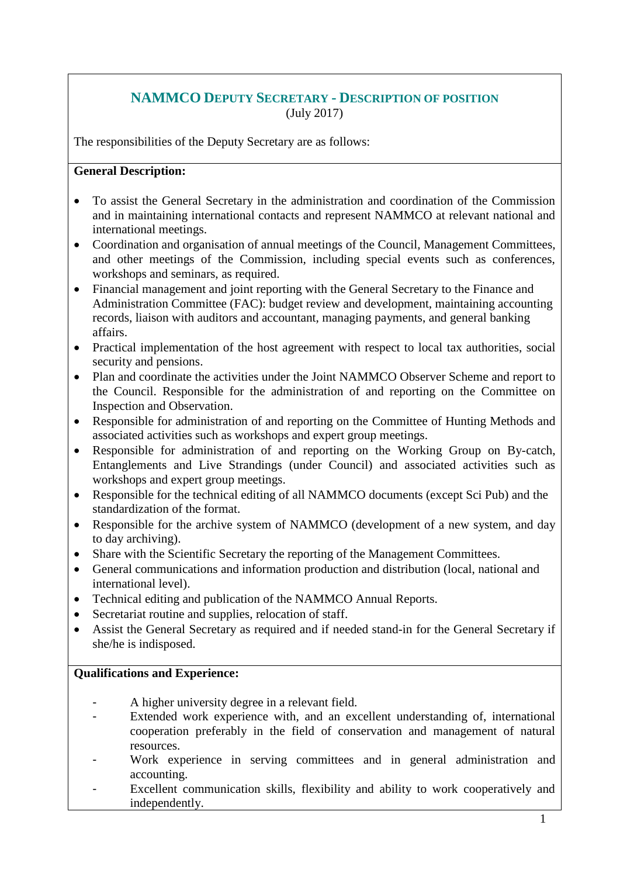# **NAMMCO DEPUTY SECRETARY - DESCRIPTION OF POSITION** (July 2017)

The responsibilities of the Deputy Secretary are as follows:

## **General Description:**

- To assist the General Secretary in the administration and coordination of the Commission and in maintaining international contacts and represent NAMMCO at relevant national and international meetings.
- Coordination and organisation of annual meetings of the Council, Management Committees, and other meetings of the Commission, including special events such as conferences, workshops and seminars, as required.
- Financial management and joint reporting with the General Secretary to the Finance and Administration Committee (FAC): budget review and development, maintaining accounting records, liaison with auditors and accountant, managing payments, and general banking affairs.
- Practical implementation of the host agreement with respect to local tax authorities, social security and pensions.
- Plan and coordinate the activities under the Joint NAMMCO Observer Scheme and report to the Council. Responsible for the administration of and reporting on the Committee on Inspection and Observation.
- Responsible for administration of and reporting on the Committee of Hunting Methods and associated activities such as workshops and expert group meetings.
- Responsible for administration of and reporting on the Working Group on By-catch, Entanglements and Live Strandings (under Council) and associated activities such as workshops and expert group meetings.
- Responsible for the technical editing of all NAMMCO documents (except Sci Pub) and the standardization of the format.
- Responsible for the archive system of NAMMCO (development of a new system, and day to day archiving).
- Share with the Scientific Secretary the reporting of the Management Committees.
- General communications and information production and distribution (local, national and international level).
- Technical editing and publication of the NAMMCO Annual Reports.
- Secretariat routine and supplies, relocation of staff.
- Assist the General Secretary as required and if needed stand-in for the General Secretary if she/he is indisposed.

## **Qualifications and Experience:**

- A higher university degree in a relevant field.
- Extended work experience with, and an excellent understanding of, international cooperation preferably in the field of conservation and management of natural resources.
- Work experience in serving committees and in general administration and accounting.
- Excellent communication skills, flexibility and ability to work cooperatively and independently.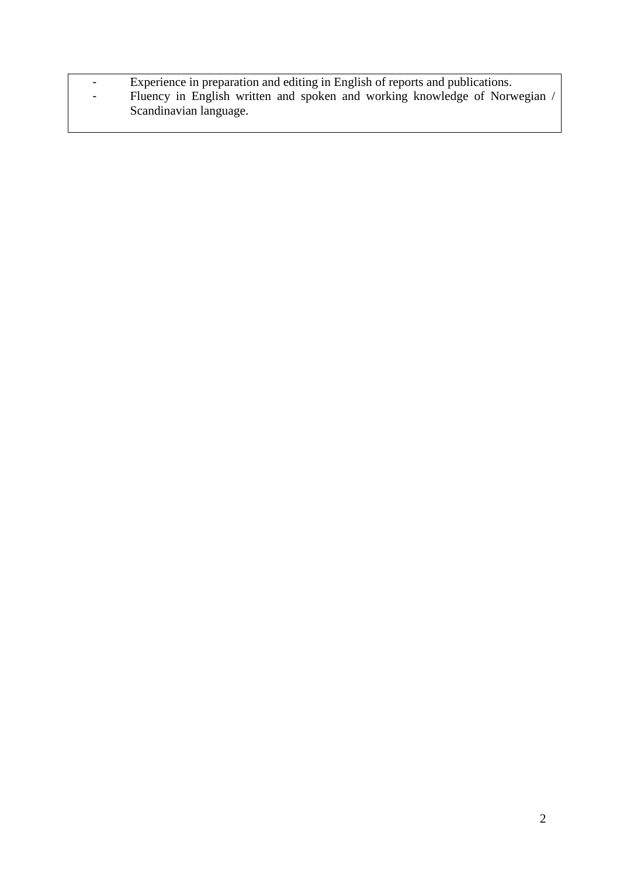- Experience in preparation and editing in English of reports and publications.
- Fluency in English written and spoken and working knowledge of Norwegian / Scandinavian language.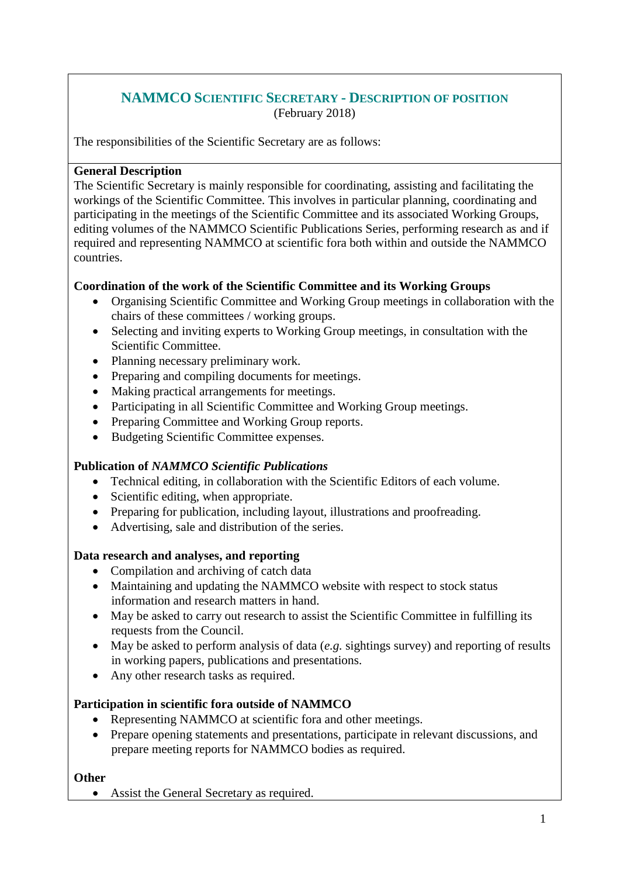# **NAMMCO SCIENTIFIC SECRETARY - DESCRIPTION OF POSITION** (February 2018)

The responsibilities of the Scientific Secretary are as follows:

## **General Description**

The Scientific Secretary is mainly responsible for coordinating, assisting and facilitating the workings of the Scientific Committee. This involves in particular planning, coordinating and participating in the meetings of the Scientific Committee and its associated Working Groups, editing volumes of the NAMMCO Scientific Publications Series, performing research as and if required and representing NAMMCO at scientific fora both within and outside the NAMMCO countries.

## **Coordination of the work of the Scientific Committee and its Working Groups**

- Organising Scientific Committee and Working Group meetings in collaboration with the chairs of these committees / working groups.
- Selecting and inviting experts to Working Group meetings, in consultation with the Scientific Committee.
- Planning necessary preliminary work.
- Preparing and compiling documents for meetings.
- Making practical arrangements for meetings.
- Participating in all Scientific Committee and Working Group meetings.
- Preparing Committee and Working Group reports.
- Budgeting Scientific Committee expenses.

## **Publication of** *NAMMCO Scientific Publications*

- Technical editing, in collaboration with the Scientific Editors of each volume.
- Scientific editing, when appropriate.
- Preparing for publication, including layout, illustrations and proofreading.
- Advertising, sale and distribution of the series.

## **Data research and analyses, and reporting**

- Compilation and archiving of catch data
- Maintaining and updating the NAMMCO website with respect to stock status information and research matters in hand.
- May be asked to carry out research to assist the Scientific Committee in fulfilling its requests from the Council.
- May be asked to perform analysis of data (*e.g.* sightings survey) and reporting of results in working papers, publications and presentations.
- Any other research tasks as required.

## **Participation in scientific fora outside of NAMMCO**

- Representing NAMMCO at scientific for a and other meetings.
- Prepare opening statements and presentations, participate in relevant discussions, and prepare meeting reports for NAMMCO bodies as required.

**Other**

• Assist the General Secretary as required.